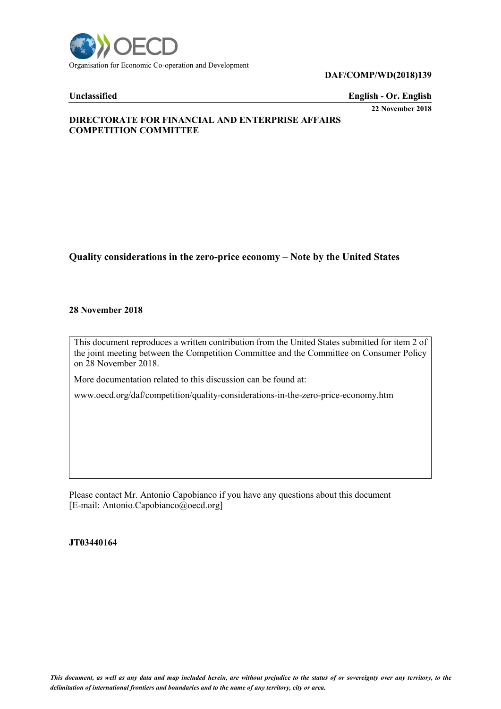

### **DAF/COMP/WD(2018)139**

**Unclassified English - Or. English 22 November 2018**

# **DIRECTORATE FOR FINANCIAL AND ENTERPRISE AFFAIRS COMPETITION COMMITTEE**

# **Quality considerations in the zero-price economy – Note by the United States**

### **28 November 2018**

This document reproduces a written contribution from the United States submitted for item 2 of the joint meeting between the Competition Committee and the Committee on Consumer Policy on 28 November 2018.

More documentation related to this discussion can be found at:

www.oecd.org/daf/competition/quality-considerations-in-the-zero-price-economy.htm

Please contact Mr. Antonio Capobianco if you have any questions about this document [E-mail: Antonio.Capobianco@oecd.org]

**JT03440164**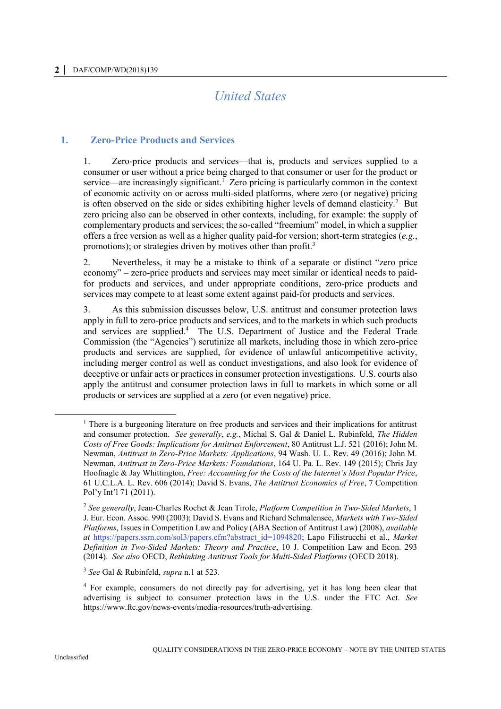# *United States*

# **1. Zero-Price Products and Services**

1. Zero-price products and services—that is, products and services supplied to a consumer or user without a price being charged to that consumer or user for the product or service—are increasingly significant.<sup>1</sup> Zero pricing is particularly common in the context of economic activity on or across multi-sided platforms, where zero (or negative) pricing is often observed on the side or sides exhibiting higher levels of demand elasticity.<sup>2</sup> But zero pricing also can be observed in other contexts, including, for example: the supply of complementary products and services; the so-called "freemium" model, in which a supplier offers a free version as well as a higher quality paid-for version; short-term strategies (*e.g.*, promotions); or strategies driven by motives other than profit.<sup>3</sup>

2. Nevertheless, it may be a mistake to think of a separate or distinct "zero price economy" – zero-price products and services may meet similar or identical needs to paidfor products and services, and under appropriate conditions, zero-price products and services may compete to at least some extent against paid-for products and services.

3. As this submission discusses below, U.S. antitrust and consumer protection laws apply in full to zero-price products and services, and to the markets in which such products and services are supplied.<sup>4</sup> The U.S. Department of Justice and the Federal Trade Commission (the "Agencies") scrutinize all markets, including those in which zero-price products and services are supplied, for evidence of unlawful anticompetitive activity, including merger control as well as conduct investigations, and also look for evidence of deceptive or unfair acts or practices in consumer protection investigations. U.S. courts also apply the antitrust and consumer protection laws in full to markets in which some or all products or services are supplied at a zero (or even negative) price.

<sup>&</sup>lt;sup>1</sup> There is a burgeoning literature on free products and services and their implications for antitrust and consumer protection. *See generally*, *e.g.*, Michal S. Gal & Daniel L. Rubinfeld, *The Hidden Costs of Free Goods: Implications for Antitrust Enforcement*, 80 Antitrust L.J. 521 (2016); John M. Newman, *Antitrust in Zero-Price Markets: Applications*, 94 Wash. U. L. Rev. 49 (2016); John M. Newman, *Antitrust in Zero-Price Markets: Foundations*, 164 U. Pa. L. Rev. 149 (2015); Chris Jay Hoofnagle & Jay Whittington, *Free: Accounting for the Costs of the Internet's Most Popular Price*, 61 U.C.L.A. L. Rev. 606 (2014); David S. Evans, *The Antitrust Economics of Free*, 7 Competition Pol'y Int'l 71 (2011).

<sup>2</sup> *See generally*, Jean-Charles Rochet & Jean Tirole, *Platform Competition in Two-Sided Markets*, 1 J. Eur. Econ. Assoc. 990 (2003); David S. Evans and Richard Schmalensee, *Markets with Two-Sided Platforms*, Issues in Competition Law and Policy (ABA Section of Antitrust Law) (2008), *available at* https://papers.ssrn.com/sol3/papers.cfm?abstract\_id=1094820; Lapo Filistrucchi et al., *Market Definition in Two-Sided Markets: Theory and Practice*, 10 J. Competition Law and Econ. 293 (2014). *See also* OECD, *Rethinking Antitrust Tools for Multi-Sided Platforms* (OECD 2018).

<sup>3</sup> *See* Gal & Rubinfeld, *supra* n.1 at 523.

<sup>&</sup>lt;sup>4</sup> For example, consumers do not directly pay for advertising, yet it has long been clear that advertising is subject to consumer protection laws in the U.S. under the FTC Act. *See* https://www.ftc.gov/news-events/media-resources/truth-advertising*.*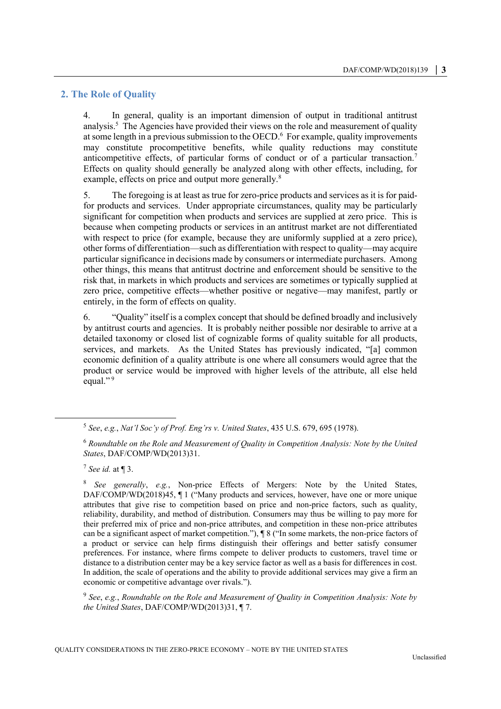### **2. The Role of Quality**

4. In general, quality is an important dimension of output in traditional antitrust analysis.<sup>5</sup> The Agencies have provided their views on the role and measurement of quality at some length in a previous submission to the OECD. 6 For example, quality improvements may constitute procompetitive benefits, while quality reductions may constitute anticompetitive effects, of particular forms of conduct or of a particular transaction.<sup>7</sup> Effects on quality should generally be analyzed along with other effects, including, for example, effects on price and output more generally.<sup>8</sup>

5. The foregoing is at least as true for zero-price products and services as it is for paidfor products and services. Under appropriate circumstances, quality may be particularly significant for competition when products and services are supplied at zero price. This is because when competing products or services in an antitrust market are not differentiated with respect to price (for example, because they are uniformly supplied at a zero price), other forms of differentiation—such as differentiation with respect to quality—may acquire particular significance in decisions made by consumers or intermediate purchasers. Among other things, this means that antitrust doctrine and enforcement should be sensitive to the risk that, in markets in which products and services are sometimes or typically supplied at zero price, competitive effects—whether positive or negative—may manifest, partly or entirely, in the form of effects on quality.

6. "Quality" itself is a complex concept that should be defined broadly and inclusively by antitrust courts and agencies. It is probably neither possible nor desirable to arrive at a detailed taxonomy or closed list of cognizable forms of quality suitable for all products, services, and markets. As the United States has previously indicated, "[a] common economic definition of a quality attribute is one where all consumers would agree that the product or service would be improved with higher levels of the attribute, all else held equal."<sup>9</sup>

 $\overline{a}$ 

9 *See*, *e.g.*, *Roundtable on the Role and Measurement of Quality in Competition Analysis: Note by the United States*, DAF/COMP/WD(2013)31, ¶ 7.

<sup>5</sup> *See*, *e.g.*, *Nat'l Soc'y of Prof. Eng'rs v. United States*, 435 U.S. 679, 695 (1978).

<sup>6</sup> *Roundtable on the Role and Measurement of Quality in Competition Analysis: Note by the United States*, DAF/COMP/WD(2013)31.

<sup>7</sup> *See id.* at ¶ 3.

<sup>8</sup> *See generally*, *e.g.*, Non-price Effects of Mergers: Note by the United States, DAF/COMP/WD(2018)45, ¶ 1 ("Many products and services, however, have one or more unique attributes that give rise to competition based on price and non-price factors, such as quality, reliability, durability, and method of distribution. Consumers may thus be willing to pay more for their preferred mix of price and non-price attributes, and competition in these non-price attributes can be a significant aspect of market competition."), ¶ 8 ("In some markets, the non-price factors of a product or service can help firms distinguish their offerings and better satisfy consumer preferences. For instance, where firms compete to deliver products to customers, travel time or distance to a distribution center may be a key service factor as well as a basis for differences in cost. In addition, the scale of operations and the ability to provide additional services may give a firm an economic or competitive advantage over rivals.").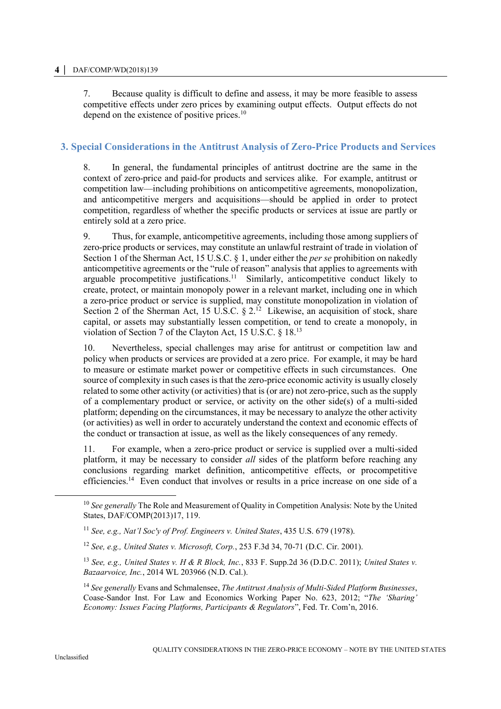7. Because quality is difficult to define and assess, it may be more feasible to assess competitive effects under zero prices by examining output effects. Output effects do not depend on the existence of positive prices.<sup>10</sup>

# **3. Special Considerations in the Antitrust Analysis of Zero-Price Products and Services**

8. In general, the fundamental principles of antitrust doctrine are the same in the context of zero-price and paid-for products and services alike. For example, antitrust or competition law—including prohibitions on anticompetitive agreements, monopolization, and anticompetitive mergers and acquisitions—should be applied in order to protect competition, regardless of whether the specific products or services at issue are partly or entirely sold at a zero price.

9. Thus, for example, anticompetitive agreements, including those among suppliers of zero-price products or services, may constitute an unlawful restraint of trade in violation of Section 1 of the Sherman Act, 15 U.S.C. § 1, under either the *per se* prohibition on nakedly anticompetitive agreements or the "rule of reason" analysis that applies to agreements with arguable procompetitive justifications.<sup>11</sup> Similarly, anticompetitive conduct likely to create, protect, or maintain monopoly power in a relevant market, including one in which a zero-price product or service is supplied, may constitute monopolization in violation of Section 2 of the Sherman Act, 15 U.S.C.  $\S 2<sup>12</sup>$  Likewise, an acquisition of stock, share capital, or assets may substantially lessen competition, or tend to create a monopoly, in violation of Section 7 of the Clayton Act, 15 U.S.C. § 18.<sup>13</sup>

10. Nevertheless, special challenges may arise for antitrust or competition law and policy when products or services are provided at a zero price. For example, it may be hard to measure or estimate market power or competitive effects in such circumstances. One source of complexity in such cases is that the zero-price economic activity is usually closely related to some other activity (or activities) that is (or are) not zero-price, such as the supply of a complementary product or service, or activity on the other side(s) of a multi-sided platform; depending on the circumstances, it may be necessary to analyze the other activity (or activities) as well in order to accurately understand the context and economic effects of the conduct or transaction at issue, as well as the likely consequences of any remedy.

11. For example, when a zero-price product or service is supplied over a multi-sided platform, it may be necessary to consider *all* sides of the platform before reaching any conclusions regarding market definition, anticompetitive effects, or procompetitive efficiencies.<sup>14</sup> Even conduct that involves or results in a price increase on one side of a

<sup>&</sup>lt;sup>10</sup> See generally The Role and Measurement of Quality in Competition Analysis: Note by the United States, DAF/COMP(2013)17, 119.

<sup>11</sup> *See, e.g., Nat'l Soc'y of Prof. Engineers v. United States*, 435 U.S. 679 (1978).

<sup>12</sup> *See, e.g., United States v. Microsoft, Corp.*, 253 F.3d 34, 70-71 (D.C. Cir. 2001).

<sup>13</sup> *See, e.g., United States v. H & R Block, Inc.*, 833 F. Supp.2d 36 (D.D.C. 2011); *United States v. Bazaarvoice, Inc.*, 2014 WL 203966 (N.D. Cal.).

<sup>14</sup> *See generally* Evans and Schmalensee, *The Antitrust Analysis of Multi-Sided Platform Businesses*, Coase-Sandor Inst. For Law and Economics Working Paper No. 623, 2012; "*The 'Sharing' Economy: Issues Facing Platforms, Participants & Regulators*", Fed. Tr. Com'n, 2016.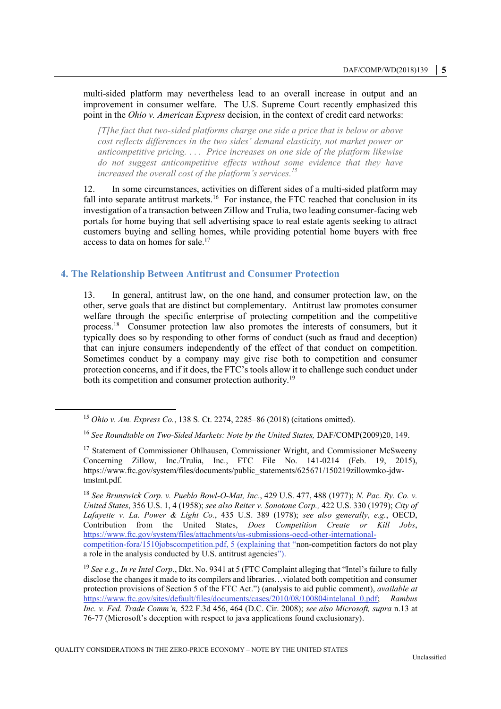multi-sided platform may nevertheless lead to an overall increase in output and an improvement in consumer welfare. The U.S. Supreme Court recently emphasized this point in the *Ohio v. American Express* decision, in the context of credit card networks:

*[T]he fact that two-sided platforms charge one side a price that is below or above cost reflects differences in the two sides' demand elasticity, not market power or anticompetitive pricing. . . . Price increases on one side of the platform likewise do not suggest anticompetitive effects without some evidence that they have increased the overall cost of the platform's services.<sup>15</sup>*

12. In some circumstances, activities on different sides of a multi-sided platform may fall into separate antitrust markets.<sup>16</sup> For instance, the FTC reached that conclusion in its investigation of a transaction between Zillow and Trulia, two leading consumer-facing web portals for home buying that sell advertising space to real estate agents seeking to attract customers buying and selling homes, while providing potential home buyers with free access to data on homes for sale.<sup>17</sup>

### **4. The Relationship Between Antitrust and Consumer Protection**

13. In general, antitrust law, on the one hand, and consumer protection law, on the other, serve goals that are distinct but complementary. Antitrust law promotes consumer welfare through the specific enterprise of protecting competition and the competitive process.<sup>18</sup> Consumer protection law also promotes the interests of consumers, but it typically does so by responding to other forms of conduct (such as fraud and deception) that can injure consumers independently of the effect of that conduct on competition. Sometimes conduct by a company may give rise both to competition and consumer protection concerns, and if it does, the FTC's tools allow it to challenge such conduct under both its competition and consumer protection authority.<sup>19</sup>

<sup>15</sup> *Ohio v. Am. Express Co.*, 138 S. Ct. 2274, 2285–86 (2018) (citations omitted).

<sup>16</sup> *See Roundtable on Two-Sided Markets: Note by the United States,* DAF/COMP(2009)20, 149.

<sup>&</sup>lt;sup>17</sup> Statement of Commissioner Ohlhausen, Commissioner Wright, and Commissioner McSweeny Concerning Zillow, Inc./Trulia, Inc., FTC File No. 141-0214 (Feb. 19, 2015), https://www.ftc.gov/system/files/documents/public\_statements/625671/150219zillowmko-jdwtmstmt.pdf.

<sup>18</sup> *See Brunswick Corp. v. Pueblo Bowl-O-Mat, Inc*., 429 U.S. 477, 488 (1977); *N. Pac. Ry. Co. v. United States*, 356 U.S. 1, 4 (1958); *see also Reiter v. Sonotone Corp.,* 422 U.S. 330 (1979); *City of Lafayette v. La. Power & Light Co.*, 435 U.S. 389 (1978); *see also generally*, *e.g.*, OECD, Contribution from the United States, *Does Competition Create or Kill Jobs*, https://www.ftc.gov/system/files/attachments/us-submissions-oecd-other-internationalcompetition-fora/1510jobscompetition.pdf, 5 (explaining that "non-competition factors do not play a role in the analysis conducted by U.S. antitrust agencies").

<sup>19</sup> *See e.g., In re Intel Corp*., Dkt. No. 9341 at 5 (FTC Complaint alleging that "Intel's failure to fully disclose the changes it made to its compilers and libraries…violated both competition and consumer protection provisions of Section 5 of the FTC Act.") (analysis to aid public comment), *available at* https://www.ftc.gov/sites/default/files/documents/cases/2010/08/100804intelanal\_0.pdf; *Rambus Inc. v. Fed. Trade Comm'n,* 522 F.3d 456, 464 (D.C. Cir. 2008); *see also Microsoft, supra* n.13 at 76-77 (Microsoft's deception with respect to java applications found exclusionary).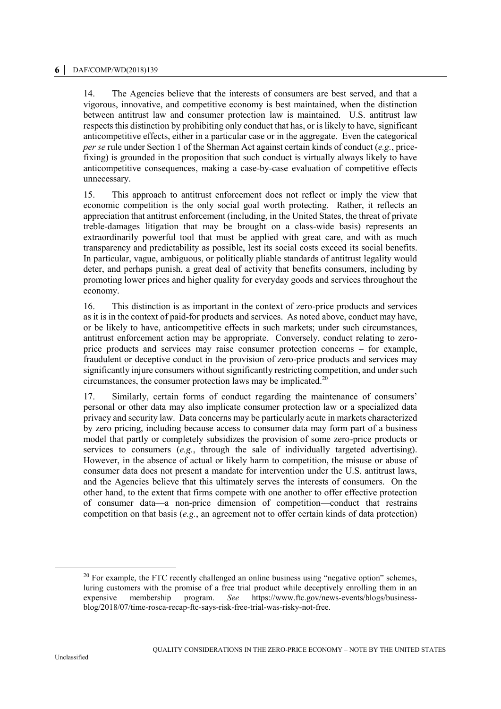14. The Agencies believe that the interests of consumers are best served, and that a vigorous, innovative, and competitive economy is best maintained, when the distinction between antitrust law and consumer protection law is maintained. U.S. antitrust law respects this distinction by prohibiting only conduct that has, or is likely to have, significant anticompetitive effects, either in a particular case or in the aggregate. Even the categorical *per se* rule under Section 1 of the Sherman Act against certain kinds of conduct (*e.g.*, pricefixing) is grounded in the proposition that such conduct is virtually always likely to have anticompetitive consequences, making a case-by-case evaluation of competitive effects unnecessary.

15. This approach to antitrust enforcement does not reflect or imply the view that economic competition is the only social goal worth protecting. Rather, it reflects an appreciation that antitrust enforcement (including, in the United States, the threat of private treble-damages litigation that may be brought on a class-wide basis) represents an extraordinarily powerful tool that must be applied with great care, and with as much transparency and predictability as possible, lest its social costs exceed its social benefits. In particular, vague, ambiguous, or politically pliable standards of antitrust legality would deter, and perhaps punish, a great deal of activity that benefits consumers, including by promoting lower prices and higher quality for everyday goods and services throughout the economy.

16. This distinction is as important in the context of zero-price products and services as it is in the context of paid-for products and services. As noted above, conduct may have, or be likely to have, anticompetitive effects in such markets; under such circumstances, antitrust enforcement action may be appropriate. Conversely, conduct relating to zeroprice products and services may raise consumer protection concerns – for example, fraudulent or deceptive conduct in the provision of zero-price products and services may significantly injure consumers without significantly restricting competition, and under such circumstances, the consumer protection laws may be implicated. $20$ 

17. Similarly, certain forms of conduct regarding the maintenance of consumers' personal or other data may also implicate consumer protection law or a specialized data privacy and security law. Data concerns may be particularly acute in markets characterized by zero pricing, including because access to consumer data may form part of a business model that partly or completely subsidizes the provision of some zero-price products or services to consumers (*e.g.*, through the sale of individually targeted advertising). However, in the absence of actual or likely harm to competition, the misuse or abuse of consumer data does not present a mandate for intervention under the U.S. antitrust laws, and the Agencies believe that this ultimately serves the interests of consumers. On the other hand, to the extent that firms compete with one another to offer effective protection of consumer data—a non-price dimension of competition—conduct that restrains competition on that basis (*e.g.*, an agreement not to offer certain kinds of data protection)

 $20$  For example, the FTC recently challenged an online business using "negative option" schemes, luring customers with the promise of a free trial product while deceptively enrolling them in an expensive membership program. *See* https://www.ftc.gov/news-events/blogs/businessblog/2018/07/time-rosca-recap-ftc-says-risk-free-trial-was-risky-not-free.